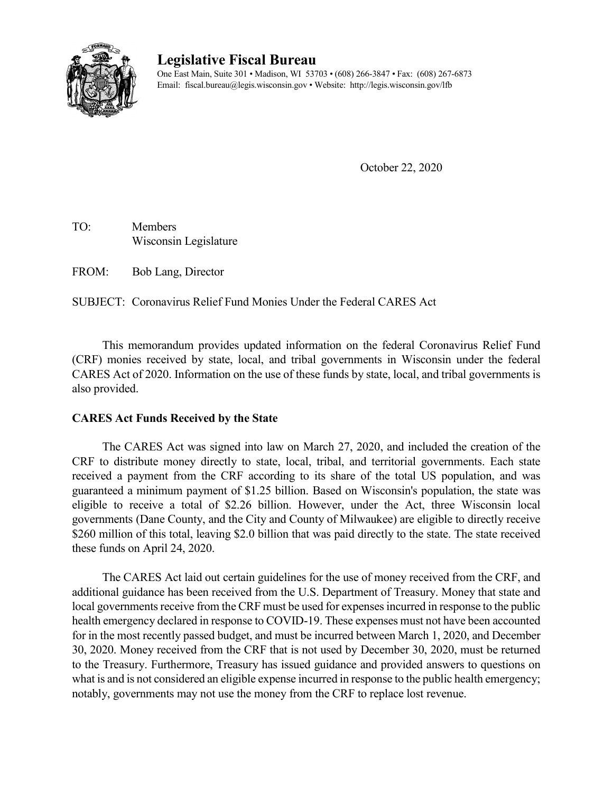

# **Legislative Fiscal Bureau**

One East Main, Suite 301 • Madison, WI 53703 • (608) 266-3847 • Fax: (608) 267-6873 Email: fiscal.bureau@legis.wisconsin.gov • Website:<http://legis.wisconsin.gov/lfb>

October 22, 2020

TO: Members Wisconsin Legislature

FROM: Bob Lang, Director

SUBJECT: Coronavirus Relief Fund Monies Under the Federal CARES Act

This memorandum provides updated information on the federal Coronavirus Relief Fund (CRF) monies received by state, local, and tribal governments in Wisconsin under the federal CARES Act of 2020. Information on the use of these funds by state, local, and tribal governments is also provided.

#### **CARES Act Funds Received by the State**

The CARES Act was signed into law on March 27, 2020, and included the creation of the CRF to distribute money directly to state, local, tribal, and territorial governments. Each state received a payment from the CRF according to its share of the total US population, and was guaranteed a minimum payment of \$1.25 billion. Based on Wisconsin's population, the state was eligible to receive a total of \$2.26 billion. However, under the Act, three Wisconsin local governments (Dane County, and the City and County of Milwaukee) are eligible to directly receive \$260 million of this total, leaving \$2.0 billion that was paid directly to the state. The state received these funds on April 24, 2020.

The CARES Act laid out certain guidelines for the use of money received from the CRF, and additional guidance has been received from the U.S. Department of Treasury. Money that state and local governments receive from the CRF must be used for expenses incurred in response to the public health emergency declared in response to COVID-19. These expenses must not have been accounted for in the most recently passed budget, and must be incurred between March 1, 2020, and December 30, 2020. Money received from the CRF that is not used by December 30, 2020, must be returned to the Treasury. Furthermore, Treasury has issued guidance and provided answers to questions on what is and is not considered an eligible expense incurred in response to the public health emergency; notably, governments may not use the money from the CRF to replace lost revenue.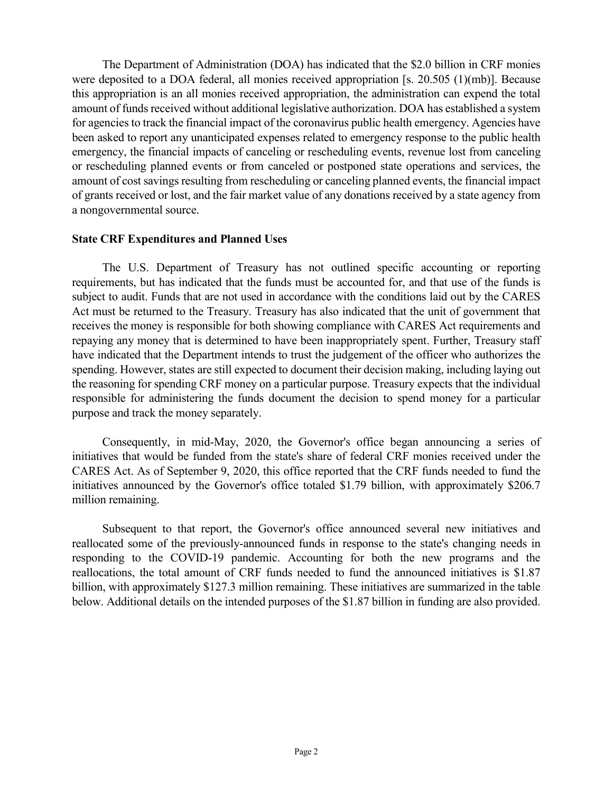The Department of Administration (DOA) has indicated that the \$2.0 billion in CRF monies were deposited to a DOA federal, all monies received appropriation [s. 20.505 (1)(mb)]. Because this appropriation is an all monies received appropriation, the administration can expend the total amount of funds received without additional legislative authorization. DOA has established a system for agencies to track the financial impact of the coronavirus public health emergency. Agencies have been asked to report any unanticipated expenses related to emergency response to the public health emergency, the financial impacts of canceling or rescheduling events, revenue lost from canceling or rescheduling planned events or from canceled or postponed state operations and services, the amount of cost savings resulting from rescheduling or canceling planned events, the financial impact of grants received or lost, and the fair market value of any donations received by a state agency from a nongovernmental source.

#### **State CRF Expenditures and Planned Uses**

The U.S. Department of Treasury has not outlined specific accounting or reporting requirements, but has indicated that the funds must be accounted for, and that use of the funds is subject to audit. Funds that are not used in accordance with the conditions laid out by the CARES Act must be returned to the Treasury. Treasury has also indicated that the unit of government that receives the money is responsible for both showing compliance with CARES Act requirements and repaying any money that is determined to have been inappropriately spent. Further, Treasury staff have indicated that the Department intends to trust the judgement of the officer who authorizes the spending. However, states are still expected to document their decision making, including laying out the reasoning for spending CRF money on a particular purpose. Treasury expects that the individual responsible for administering the funds document the decision to spend money for a particular purpose and track the money separately.

Consequently, in mid-May, 2020, the Governor's office began announcing a series of initiatives that would be funded from the state's share of federal CRF monies received under the CARES Act. As of September 9, 2020, this office reported that the CRF funds needed to fund the initiatives announced by the Governor's office totaled \$1.79 billion, with approximately \$206.7 million remaining.

Subsequent to that report, the Governor's office announced several new initiatives and reallocated some of the previously-announced funds in response to the state's changing needs in responding to the COVID-19 pandemic. Accounting for both the new programs and the reallocations, the total amount of CRF funds needed to fund the announced initiatives is \$1.87 billion, with approximately \$127.3 million remaining. These initiatives are summarized in the table below. Additional details on the intended purposes of the \$1.87 billion in funding are also provided.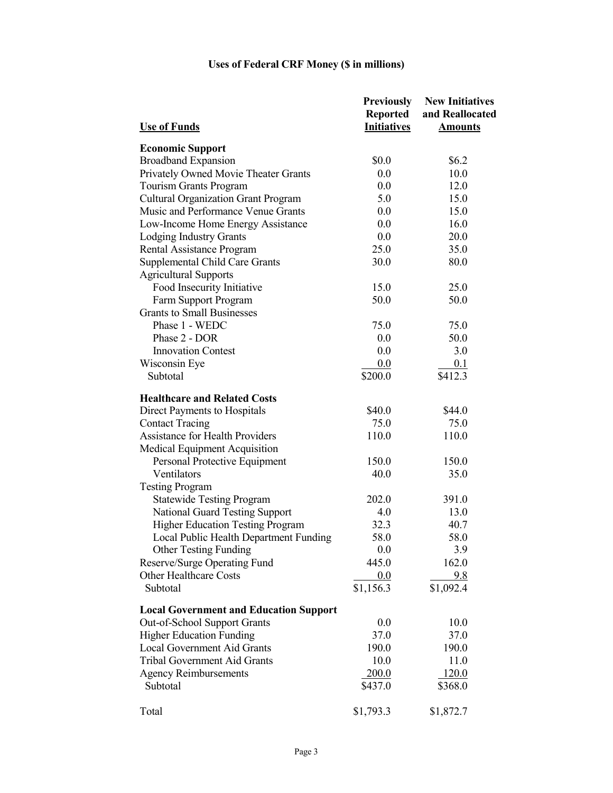| <b>Use of Funds</b>                           | <b>Previously</b><br>Reported<br><b>Initiatives</b> | <b>New Initiatives</b><br>and Reallocated<br><b>Amounts</b> |
|-----------------------------------------------|-----------------------------------------------------|-------------------------------------------------------------|
| <b>Economic Support</b>                       |                                                     |                                                             |
| <b>Broadband Expansion</b>                    | \$0.0                                               | \$6.2\$                                                     |
| Privately Owned Movie Theater Grants          | 0.0                                                 | 10.0                                                        |
| Tourism Grants Program                        | 0.0                                                 | 12.0                                                        |
| <b>Cultural Organization Grant Program</b>    | 5.0                                                 | 15.0                                                        |
| Music and Performance Venue Grants            | 0.0                                                 | 15.0                                                        |
| Low-Income Home Energy Assistance             | 0.0                                                 | 16.0                                                        |
| Lodging Industry Grants                       | 0.0                                                 | 20.0                                                        |
| Rental Assistance Program                     | 25.0                                                | 35.0                                                        |
| Supplemental Child Care Grants                | 30.0                                                | 80.0                                                        |
| <b>Agricultural Supports</b>                  |                                                     |                                                             |
| Food Insecurity Initiative                    | 15.0                                                | 25.0                                                        |
| Farm Support Program                          | 50.0                                                | 50.0                                                        |
| <b>Grants to Small Businesses</b>             |                                                     |                                                             |
| Phase 1 - WEDC                                | 75.0                                                | 75.0                                                        |
| Phase 2 - DOR                                 | 0.0                                                 | 50.0                                                        |
| <b>Innovation Contest</b>                     | 0.0                                                 | 3.0                                                         |
| Wisconsin Eye                                 | 0.0                                                 | 0.1                                                         |
| Subtotal                                      | \$200.0                                             | \$412.3                                                     |
| <b>Healthcare and Related Costs</b>           |                                                     |                                                             |
| Direct Payments to Hospitals                  | \$40.0                                              | \$44.0                                                      |
| <b>Contact Tracing</b>                        | 75.0                                                | 75.0                                                        |
| <b>Assistance for Health Providers</b>        | 110.0                                               | 110.0                                                       |
| Medical Equipment Acquisition                 |                                                     |                                                             |
| Personal Protective Equipment                 | 150.0                                               | 150.0                                                       |
| Ventilators                                   | 40.0                                                | 35.0                                                        |
| <b>Testing Program</b>                        |                                                     |                                                             |
| <b>Statewide Testing Program</b>              | 202.0                                               | 391.0                                                       |
| <b>National Guard Testing Support</b>         | 4.0                                                 | 13.0                                                        |
| <b>Higher Education Testing Program</b>       | 32.3                                                | 40.7                                                        |
| Local Public Health Department Funding        | 58.0                                                | 58.0                                                        |
| <b>Other Testing Funding</b>                  | 0.0                                                 | 3.9                                                         |
| Reserve/Surge Operating Fund                  | 445.0                                               | 162.0                                                       |
| Other Healthcare Costs                        | 0.0                                                 | 9.8                                                         |
| Subtotal                                      | \$1,156.3                                           | \$1,092.4                                                   |
| <b>Local Government and Education Support</b> |                                                     |                                                             |
| Out-of-School Support Grants                  | 0.0                                                 | 10.0                                                        |
| <b>Higher Education Funding</b>               | 37.0                                                | 37.0                                                        |
| <b>Local Government Aid Grants</b>            | 190.0                                               | 190.0                                                       |
| <b>Tribal Government Aid Grants</b>           | 10.0                                                | 11.0                                                        |
| <b>Agency Reimbursements</b>                  | 200.0                                               | 120.0                                                       |
| Subtotal                                      | \$437.0                                             | \$368.0                                                     |
| Total                                         | \$1,793.3                                           | \$1,872.7                                                   |

# **Uses of Federal CRF Money (\$ in millions)**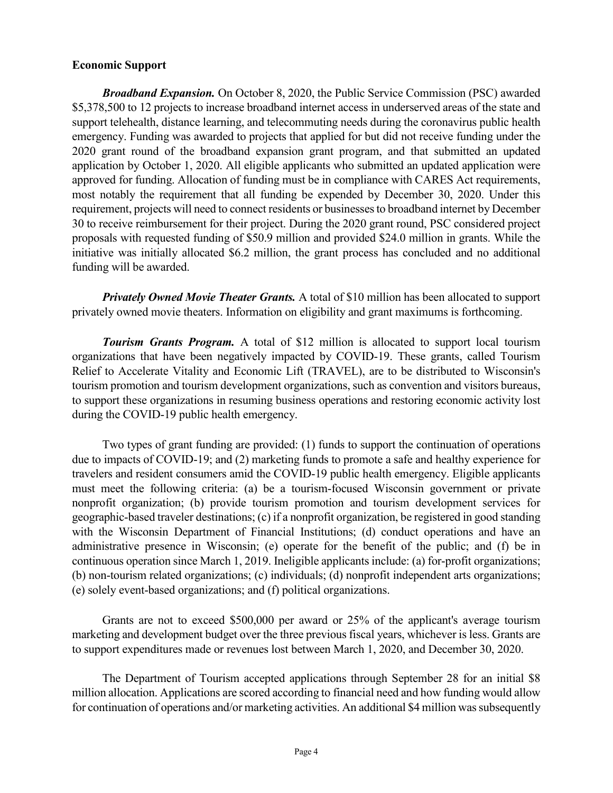#### **Economic Support**

*Broadband Expansion.* On October 8, 2020, the Public Service Commission (PSC) awarded \$5,378,500 to 12 projects to increase broadband internet access in underserved areas of the state and support telehealth, distance learning, and telecommuting needs during the coronavirus public health emergency. Funding was awarded to projects that applied for but did not receive funding under the 2020 grant round of the broadband expansion grant program, and that submitted an updated application by October 1, 2020. All eligible applicants who submitted an updated application were approved for funding. Allocation of funding must be in compliance with CARES Act requirements, most notably the requirement that all funding be expended by December 30, 2020. Under this requirement, projects will need to connect residents or businesses to broadband internet by December 30 to receive reimbursement for their project. During the 2020 grant round, PSC considered project proposals with requested funding of \$50.9 million and provided \$24.0 million in grants. While the initiative was initially allocated \$6.2 million, the grant process has concluded and no additional funding will be awarded.

*Privately Owned Movie Theater Grants.* A total of \$10 million has been allocated to support privately owned movie theaters. Information on eligibility and grant maximums is forthcoming.

*Tourism Grants Program.* A total of \$12 million is allocated to support local tourism organizations that have been negatively impacted by COVID-19. These grants, called Tourism Relief to Accelerate Vitality and Economic Lift (TRAVEL), are to be distributed to Wisconsin's tourism promotion and tourism development organizations, such as convention and visitors bureaus, to support these organizations in resuming business operations and restoring economic activity lost during the COVID-19 public health emergency.

Two types of grant funding are provided: (1) funds to support the continuation of operations due to impacts of COVID-19; and (2) marketing funds to promote a safe and healthy experience for travelers and resident consumers amid the COVID-19 public health emergency. Eligible applicants must meet the following criteria: (a) be a tourism-focused Wisconsin government or private nonprofit organization; (b) provide tourism promotion and tourism development services for geographic-based traveler destinations; (c) if a nonprofit organization, be registered in good standing with the Wisconsin Department of Financial Institutions; (d) conduct operations and have an administrative presence in Wisconsin; (e) operate for the benefit of the public; and (f) be in continuous operation since March 1, 2019. Ineligible applicants include: (a) for-profit organizations; (b) non-tourism related organizations; (c) individuals; (d) nonprofit independent arts organizations; (e) solely event-based organizations; and (f) political organizations.

Grants are not to exceed \$500,000 per award or 25% of the applicant's average tourism marketing and development budget over the three previous fiscal years, whichever is less. Grants are to support expenditures made or revenues lost between March 1, 2020, and December 30, 2020.

The Department of Tourism accepted applications through September 28 for an initial \$8 million allocation. Applications are scored according to financial need and how funding would allow for continuation of operations and/or marketing activities. An additional \$4 million was subsequently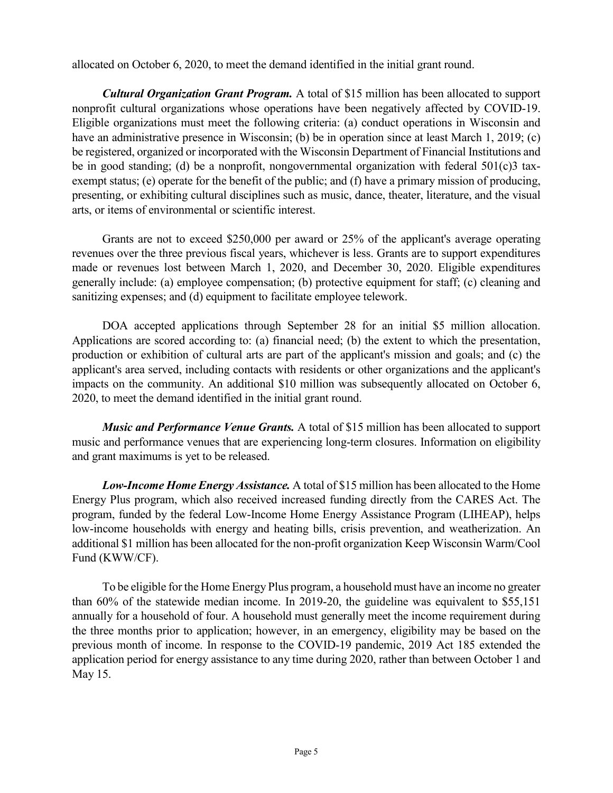allocated on October 6, 2020, to meet the demand identified in the initial grant round.

*Cultural Organization Grant Program.* A total of \$15 million has been allocated to support nonprofit cultural organizations whose operations have been negatively affected by COVID-19. Eligible organizations must meet the following criteria: (a) conduct operations in Wisconsin and have an administrative presence in Wisconsin; (b) be in operation since at least March 1, 2019; (c) be registered, organized or incorporated with the Wisconsin Department of Financial Institutions and be in good standing; (d) be a nonprofit, nongovernmental organization with federal  $501(c)3$  taxexempt status; (e) operate for the benefit of the public; and (f) have a primary mission of producing, presenting, or exhibiting cultural disciplines such as music, dance, theater, literature, and the visual arts, or items of environmental or scientific interest.

Grants are not to exceed \$250,000 per award or 25% of the applicant's average operating revenues over the three previous fiscal years, whichever is less. Grants are to support expenditures made or revenues lost between March 1, 2020, and December 30, 2020. Eligible expenditures generally include: (a) employee compensation; (b) protective equipment for staff; (c) cleaning and sanitizing expenses; and (d) equipment to facilitate employee telework.

DOA accepted applications through September 28 for an initial \$5 million allocation. Applications are scored according to: (a) financial need; (b) the extent to which the presentation, production or exhibition of cultural arts are part of the applicant's mission and goals; and (c) the applicant's area served, including contacts with residents or other organizations and the applicant's impacts on the community. An additional \$10 million was subsequently allocated on October 6, 2020, to meet the demand identified in the initial grant round.

*Music and Performance Venue Grants.* A total of \$15 million has been allocated to support music and performance venues that are experiencing long-term closures. Information on eligibility and grant maximums is yet to be released.

*Low-Income Home Energy Assistance.* A total of \$15 million has been allocated to the Home Energy Plus program, which also received increased funding directly from the CARES Act. The program, funded by the federal Low-Income Home Energy Assistance Program (LIHEAP), helps low-income households with energy and heating bills, crisis prevention, and weatherization. An additional \$1 million has been allocated for the non-profit organization Keep Wisconsin Warm/Cool Fund (KWW/CF).

To be eligible for the Home Energy Plus program, a household must have an income no greater than 60% of the statewide median income. In 2019-20, the guideline was equivalent to \$55,151 annually for a household of four. A household must generally meet the income requirement during the three months prior to application; however, in an emergency, eligibility may be based on the previous month of income. In response to the COVID-19 pandemic, 2019 Act 185 extended the application period for energy assistance to any time during 2020, rather than between October 1 and May 15.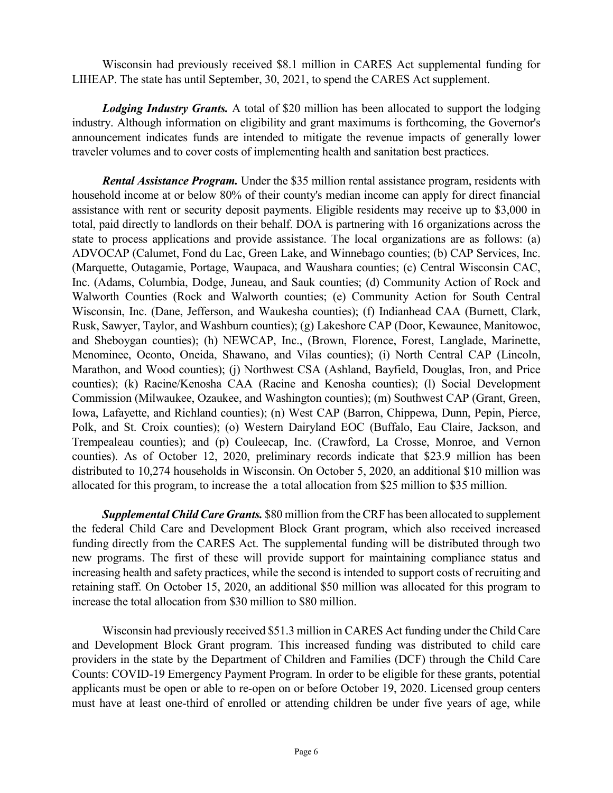Wisconsin had previously received \$8.1 million in CARES Act supplemental funding for LIHEAP. The state has until September, 30, 2021, to spend the CARES Act supplement.

*Lodging Industry Grants.* A total of \$20 million has been allocated to support the lodging industry. Although information on eligibility and grant maximums is forthcoming, the Governor's announcement indicates funds are intended to mitigate the revenue impacts of generally lower traveler volumes and to cover costs of implementing health and sanitation best practices.

*Rental Assistance Program.* Under the \$35 million rental assistance program, residents with household income at or below 80% of their county's median income can apply for direct financial assistance with rent or security deposit payments. Eligible residents may receive up to \$3,000 in total, paid directly to landlords on their behalf. DOA is partnering with 16 organizations across the state to process applications and provide assistance. The local organizations are as follows: (a) ADVOCAP (Calumet, Fond du Lac, Green Lake, and Winnebago counties; (b) CAP Services, Inc. (Marquette, Outagamie, Portage, Waupaca, and Waushara counties; (c) Central Wisconsin CAC, Inc. (Adams, Columbia, Dodge, Juneau, and Sauk counties; (d) Community Action of Rock and Walworth Counties (Rock and Walworth counties; (e) Community Action for South Central Wisconsin, Inc. (Dane, Jefferson, and Waukesha counties); (f) Indianhead CAA (Burnett, Clark, Rusk, Sawyer, Taylor, and Washburn counties); (g) Lakeshore CAP (Door, Kewaunee, Manitowoc, and Sheboygan counties); (h) NEWCAP, Inc., (Brown, Florence, Forest, Langlade, Marinette, Menominee, Oconto, Oneida, Shawano, and Vilas counties); (i) North Central CAP (Lincoln, Marathon, and Wood counties); (j) Northwest CSA (Ashland, Bayfield, Douglas, Iron, and Price counties); (k) Racine/Kenosha CAA (Racine and Kenosha counties); (l) Social Development Commission (Milwaukee, Ozaukee, and Washington counties); (m) Southwest CAP (Grant, Green, Iowa, Lafayette, and Richland counties); (n) West CAP (Barron, Chippewa, Dunn, Pepin, Pierce, Polk, and St. Croix counties); (o) Western Dairyland EOC (Buffalo, Eau Claire, Jackson, and Trempealeau counties); and (p) Couleecap, Inc. (Crawford, La Crosse, Monroe, and Vernon counties). As of October 12, 2020, preliminary records indicate that \$23.9 million has been distributed to 10,274 households in Wisconsin. On October 5, 2020, an additional \$10 million was allocated for this program, to increase the a total allocation from \$25 million to \$35 million.

*Supplemental Child Care Grants.* \$80 million from the CRF has been allocated to supplement the federal Child Care and Development Block Grant program, which also received increased funding directly from the CARES Act. The supplemental funding will be distributed through two new programs. The first of these will provide support for maintaining compliance status and increasing health and safety practices, while the second is intended to support costs of recruiting and retaining staff. On October 15, 2020, an additional \$50 million was allocated for this program to increase the total allocation from \$30 million to \$80 million.

Wisconsin had previously received \$51.3 million in CARES Act funding under the Child Care and Development Block Grant program. This increased funding was distributed to child care providers in the state by the Department of Children and Families (DCF) through the Child Care Counts: COVID-19 Emergency Payment Program. In order to be eligible for these grants, potential applicants must be open or able to re-open on or before October 19, 2020. Licensed group centers must have at least one-third of enrolled or attending children be under five years of age, while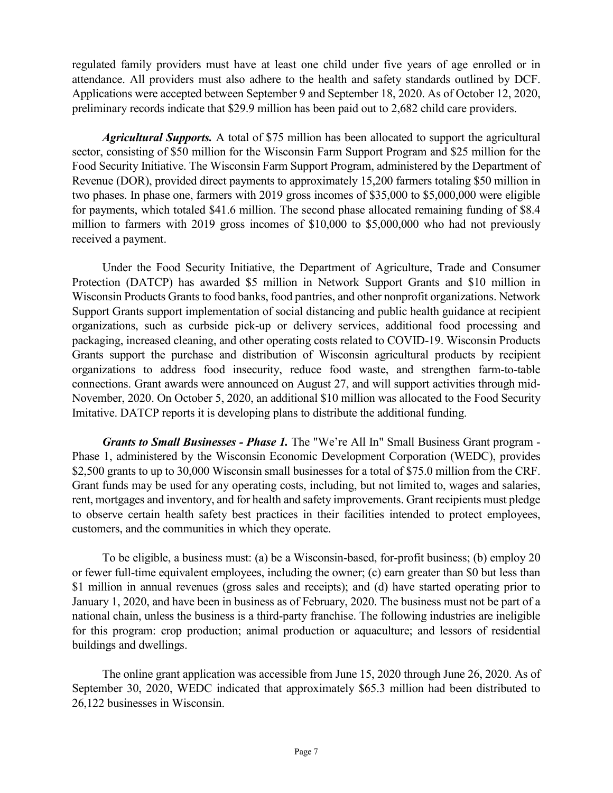regulated family providers must have at least one child under five years of age enrolled or in attendance. All providers must also adhere to the health and safety standards outlined by DCF. Applications were accepted between September 9 and September 18, 2020. As of October 12, 2020, preliminary records indicate that \$29.9 million has been paid out to 2,682 child care providers.

*Agricultural Supports.* A total of \$75 million has been allocated to support the agricultural sector, consisting of \$50 million for the Wisconsin Farm Support Program and \$25 million for the Food Security Initiative. The Wisconsin Farm Support Program, administered by the Department of Revenue (DOR), provided direct payments to approximately 15,200 farmers totaling \$50 million in two phases. In phase one, farmers with 2019 gross incomes of \$35,000 to \$5,000,000 were eligible for payments, which totaled \$41.6 million. The second phase allocated remaining funding of \$8.4 million to farmers with 2019 gross incomes of \$10,000 to \$5,000,000 who had not previously received a payment.

Under the Food Security Initiative, the Department of Agriculture, Trade and Consumer Protection (DATCP) has awarded \$5 million in Network Support Grants and \$10 million in Wisconsin Products Grants to food banks, food pantries, and other nonprofit organizations. Network Support Grants support implementation of social distancing and public health guidance at recipient organizations, such as curbside pick-up or delivery services, additional food processing and packaging, increased cleaning, and other operating costs related to COVID-19. Wisconsin Products Grants support the purchase and distribution of Wisconsin agricultural products by recipient organizations to address food insecurity, reduce food waste, and strengthen farm-to-table connections. Grant awards were announced on August 27, and will support activities through mid-November, 2020. On October 5, 2020, an additional \$10 million was allocated to the Food Security Imitative. DATCP reports it is developing plans to distribute the additional funding.

*Grants to Small Businesses - Phase 1.* The "We're All In" Small Business Grant program - Phase 1, administered by the Wisconsin Economic Development Corporation (WEDC), provides \$2,500 grants to up to 30,000 Wisconsin small businesses for a total of \$75.0 million from the CRF. Grant funds may be used for any operating costs, including, but not limited to, wages and salaries, rent, mortgages and inventory, and for health and safety improvements. Grant recipients must pledge to observe certain health safety best practices in their facilities intended to protect employees, customers, and the communities in which they operate.

To be eligible, a business must: (a) be a Wisconsin-based, for-profit business; (b) employ 20 or fewer full-time equivalent employees, including the owner; (c) earn greater than \$0 but less than \$1 million in annual revenues (gross sales and receipts); and (d) have started operating prior to January 1, 2020, and have been in business as of February, 2020. The business must not be part of a national chain, unless the business is a third-party franchise. The following industries are ineligible for this program: crop production; animal production or aquaculture; and lessors of residential buildings and dwellings.

The online grant application was accessible from June 15, 2020 through June 26, 2020. As of September 30, 2020, WEDC indicated that approximately \$65.3 million had been distributed to 26,122 businesses in Wisconsin.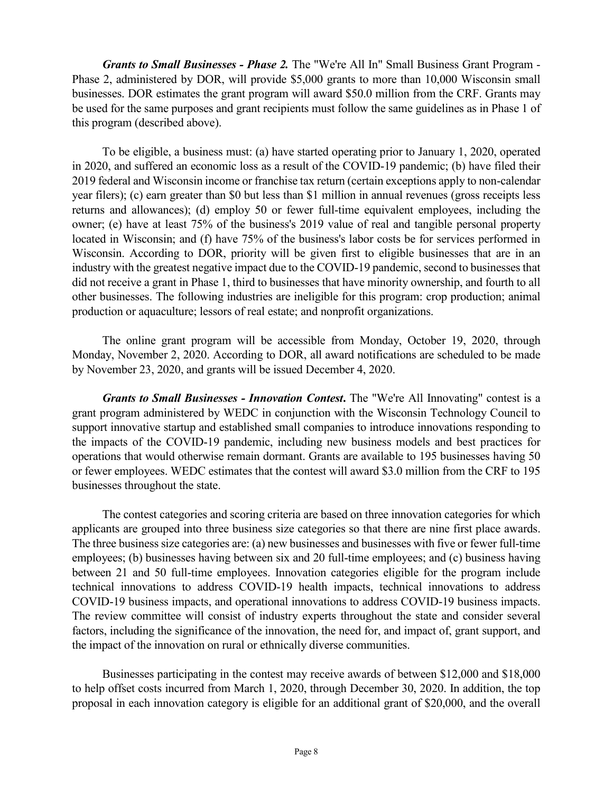*Grants to Small Businesses - Phase 2.* The "We're All In" Small Business Grant Program - Phase 2, administered by DOR, will provide \$5,000 grants to more than 10,000 Wisconsin small businesses. DOR estimates the grant program will award \$50.0 million from the CRF. Grants may be used for the same purposes and grant recipients must follow the same guidelines as in Phase 1 of this program (described above).

To be eligible, a business must: (a) have started operating prior to January 1, 2020, operated in 2020, and suffered an economic loss as a result of the COVID-19 pandemic; (b) have filed their 2019 federal and Wisconsin income or franchise tax return (certain exceptions apply to non-calendar year filers); (c) earn greater than \$0 but less than \$1 million in annual revenues (gross receipts less returns and allowances); (d) employ 50 or fewer full-time equivalent employees, including the owner; (e) have at least 75% of the business's 2019 value of real and tangible personal property located in Wisconsin; and (f) have 75% of the business's labor costs be for services performed in Wisconsin. According to DOR, priority will be given first to eligible businesses that are in an industry with the greatest negative impact due to the COVID-19 pandemic, second to businesses that did not receive a grant in Phase 1, third to businesses that have minority ownership, and fourth to all other businesses. The following industries are ineligible for this program: crop production; animal production or aquaculture; lessors of real estate; and nonprofit organizations.

The online grant program will be accessible from Monday, October 19, 2020, through Monday, November 2, 2020. According to DOR, all award notifications are scheduled to be made by November 23, 2020, and grants will be issued December 4, 2020.

*Grants to Small Businesses - Innovation Contest***.** The "We're All Innovating" contest is a grant program administered by WEDC in conjunction with the Wisconsin Technology Council to support innovative startup and established small companies to introduce innovations responding to the impacts of the COVID-19 pandemic, including new business models and best practices for operations that would otherwise remain dormant. Grants are available to 195 businesses having 50 or fewer employees. WEDC estimates that the contest will award \$3.0 million from the CRF to 195 businesses throughout the state.

The contest categories and scoring criteria are based on three innovation categories for which applicants are grouped into three business size categories so that there are nine first place awards. The three business size categories are: (a) new businesses and businesses with five or fewer full-time employees; (b) businesses having between six and 20 full-time employees; and (c) business having between 21 and 50 full-time employees. Innovation categories eligible for the program include technical innovations to address COVID-19 health impacts, technical innovations to address COVID-19 business impacts, and operational innovations to address COVID-19 business impacts. The review committee will consist of industry experts throughout the state and consider several factors, including the significance of the innovation, the need for, and impact of, grant support, and the impact of the innovation on rural or ethnically diverse communities.

Businesses participating in the contest may receive awards of between \$12,000 and \$18,000 to help offset costs incurred from March 1, 2020, through December 30, 2020. In addition, the top proposal in each innovation category is eligible for an additional grant of \$20,000, and the overall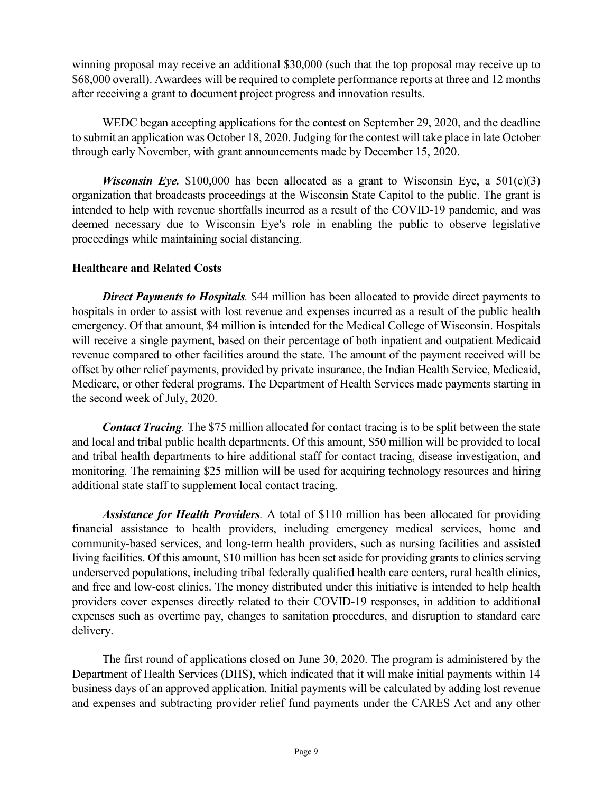winning proposal may receive an additional \$30,000 (such that the top proposal may receive up to \$68,000 overall). Awardees will be required to complete performance reports at three and 12 months after receiving a grant to document project progress and innovation results.

WEDC began accepting applications for the contest on September 29, 2020, and the deadline to submit an application was October 18, 2020. Judging for the contest will take place in late October through early November, with grant announcements made by December 15, 2020.

*Wisconsin Eye.* \$100,000 has been allocated as a grant to Wisconsin Eye, a  $501(c)(3)$ organization that broadcasts proceedings at the Wisconsin State Capitol to the public. The grant is intended to help with revenue shortfalls incurred as a result of the COVID-19 pandemic, and was deemed necessary due to Wisconsin Eye's role in enabling the public to observe legislative proceedings while maintaining social distancing.

### **Healthcare and Related Costs**

**Direct Payments to Hospitals**. \$44 million has been allocated to provide direct payments to hospitals in order to assist with lost revenue and expenses incurred as a result of the public health emergency. Of that amount, \$4 million is intended for the Medical College of Wisconsin. Hospitals will receive a single payment, based on their percentage of both inpatient and outpatient Medicaid revenue compared to other facilities around the state. The amount of the payment received will be offset by other relief payments, provided by private insurance, the Indian Health Service, Medicaid, Medicare, or other federal programs. The Department of Health Services made payments starting in the second week of July, 2020.

*Contact Tracing.* The \$75 million allocated for contact tracing is to be split between the state and local and tribal public health departments. Of this amount, \$50 million will be provided to local and tribal health departments to hire additional staff for contact tracing, disease investigation, and monitoring. The remaining \$25 million will be used for acquiring technology resources and hiring additional state staff to supplement local contact tracing.

*Assistance for Health Providers.* A total of \$110 million has been allocated for providing financial assistance to health providers, including emergency medical services, home and community-based services, and long-term health providers, such as nursing facilities and assisted living facilities. Of this amount, \$10 million has been set aside for providing grants to clinics serving underserved populations, including tribal federally qualified health care centers, rural health clinics, and free and low-cost clinics. The money distributed under this initiative is intended to help health providers cover expenses directly related to their COVID-19 responses, in addition to additional expenses such as overtime pay, changes to sanitation procedures, and disruption to standard care delivery.

The first round of applications closed on June 30, 2020. The program is administered by the Department of Health Services (DHS), which indicated that it will make initial payments within 14 business days of an approved application. Initial payments will be calculated by adding lost revenue and expenses and subtracting provider relief fund payments under the CARES Act and any other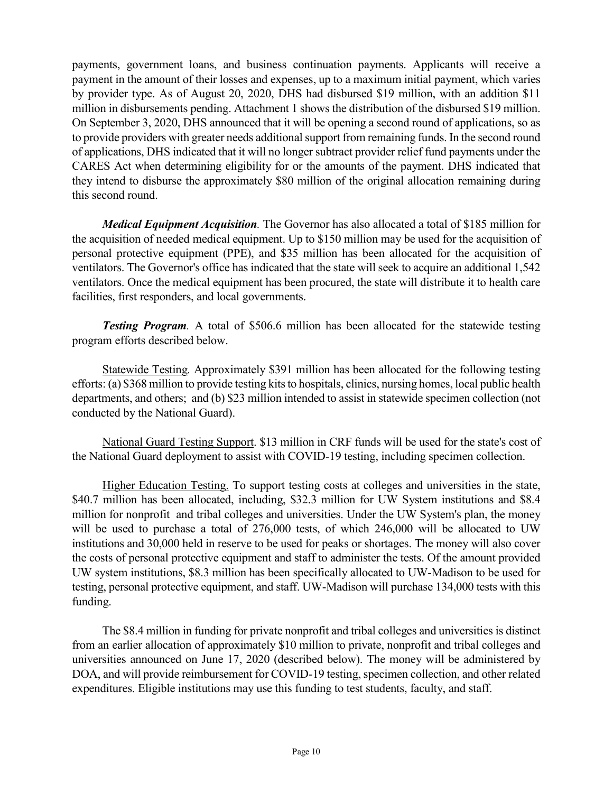payments, government loans, and business continuation payments. Applicants will receive a payment in the amount of their losses and expenses, up to a maximum initial payment, which varies by provider type. As of August 20, 2020, DHS had disbursed \$19 million, with an addition \$11 million in disbursements pending. Attachment 1 shows the distribution of the disbursed \$19 million. On September 3, 2020, DHS announced that it will be opening a second round of applications, so as to provide providers with greater needs additional support from remaining funds. In the second round of applications, DHS indicated that it will no longer subtract provider relief fund payments under the CARES Act when determining eligibility for or the amounts of the payment. DHS indicated that they intend to disburse the approximately \$80 million of the original allocation remaining during this second round.

*Medical Equipment Acquisition.* The Governor has also allocated a total of \$185 million for the acquisition of needed medical equipment. Up to \$150 million may be used for the acquisition of personal protective equipment (PPE), and \$35 million has been allocated for the acquisition of ventilators. The Governor's office has indicated that the state will seek to acquire an additional 1,542 ventilators. Once the medical equipment has been procured, the state will distribute it to health care facilities, first responders, and local governments.

*Testing Program.* A total of \$506.6 million has been allocated for the statewide testing program efforts described below.

Statewide Testing*.* Approximately \$391 million has been allocated for the following testing efforts: (a) \$368 million to provide testing kits to hospitals, clinics, nursing homes, local public health departments, and others; and (b) \$23 million intended to assist in statewide specimen collection (not conducted by the National Guard).

National Guard Testing Support. \$13 million in CRF funds will be used for the state's cost of the National Guard deployment to assist with COVID-19 testing, including specimen collection.

Higher Education Testing. To support testing costs at colleges and universities in the state, \$40.7 million has been allocated, including, \$32.3 million for UW System institutions and \$8.4 million for nonprofit and tribal colleges and universities. Under the UW System's plan, the money will be used to purchase a total of 276,000 tests, of which 246,000 will be allocated to UW institutions and 30,000 held in reserve to be used for peaks or shortages. The money will also cover the costs of personal protective equipment and staff to administer the tests. Of the amount provided UW system institutions, \$8.3 million has been specifically allocated to UW-Madison to be used for testing, personal protective equipment, and staff. UW-Madison will purchase 134,000 tests with this funding.

The \$8.4 million in funding for private nonprofit and tribal colleges and universities is distinct from an earlier allocation of approximately \$10 million to private, nonprofit and tribal colleges and universities announced on June 17, 2020 (described below). The money will be administered by DOA, and will provide reimbursement for COVID-19 testing, specimen collection, and other related expenditures. Eligible institutions may use this funding to test students, faculty, and staff.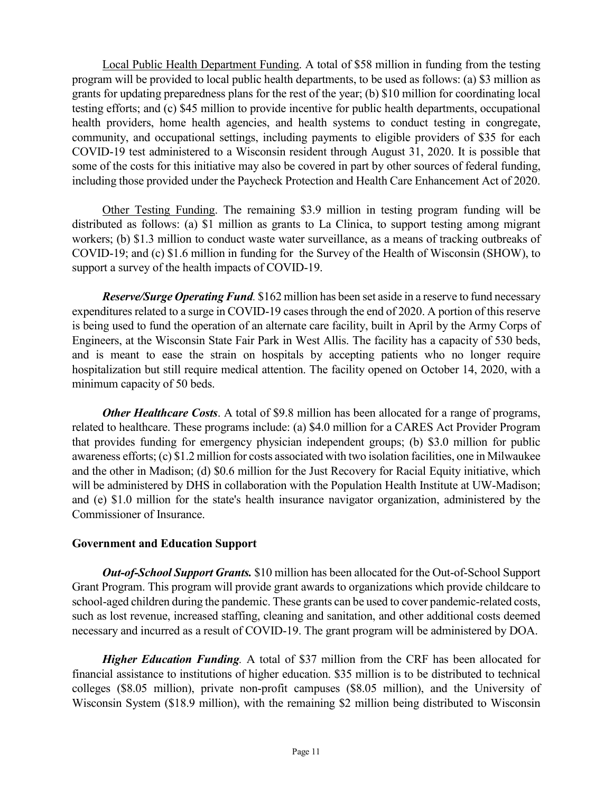Local Public Health Department Funding. A total of \$58 million in funding from the testing program will be provided to local public health departments, to be used as follows: (a) \$3 million as grants for updating preparedness plans for the rest of the year; (b) \$10 million for coordinating local testing efforts; and (c) \$45 million to provide incentive for public health departments, occupational health providers, home health agencies, and health systems to conduct testing in congregate, community, and occupational settings, including payments to eligible providers of \$35 for each COVID-19 test administered to a Wisconsin resident through August 31, 2020. It is possible that some of the costs for this initiative may also be covered in part by other sources of federal funding, including those provided under the Paycheck Protection and Health Care Enhancement Act of 2020.

Other Testing Funding. The remaining \$3.9 million in testing program funding will be distributed as follows: (a) \$1 million as grants to La Clinica, to support testing among migrant workers; (b) \$1.3 million to conduct waste water surveillance, as a means of tracking outbreaks of COVID-19; and (c) \$1.6 million in funding for the Survey of the Health of Wisconsin (SHOW), to support a survey of the health impacts of COVID-19.

*Reserve/Surge Operating Fund.* \$162 million has been set aside in a reserve to fund necessary expenditures related to a surge in COVID-19 cases through the end of 2020. A portion of this reserve is being used to fund the operation of an alternate care facility, built in April by the Army Corps of Engineers, at the Wisconsin State Fair Park in West Allis. The facility has a capacity of 530 beds, and is meant to ease the strain on hospitals by accepting patients who no longer require hospitalization but still require medical attention. The facility opened on October 14, 2020, with a minimum capacity of 50 beds.

*Other Healthcare Costs*. A total of \$9.8 million has been allocated for a range of programs, related to healthcare. These programs include: (a) \$4.0 million for a CARES Act Provider Program that provides funding for emergency physician independent groups; (b) \$3.0 million for public awareness efforts; (c) \$1.2 million for costs associated with two isolation facilities, one in Milwaukee and the other in Madison; (d) \$0.6 million for the Just Recovery for Racial Equity initiative, which will be administered by DHS in collaboration with the Population Health Institute at UW-Madison; and (e) \$1.0 million for the state's health insurance navigator organization, administered by the Commissioner of Insurance.

#### **Government and Education Support**

*Out-of-School Support Grants.* \$10 million has been allocated for the Out-of-School Support Grant Program. This program will provide grant awards to organizations which provide childcare to school-aged children during the pandemic. These grants can be used to cover pandemic-related costs, such as lost revenue, increased staffing, cleaning and sanitation, and other additional costs deemed necessary and incurred as a result of COVID-19. The grant program will be administered by DOA.

*Higher Education Funding.* A total of \$37 million from the CRF has been allocated for financial assistance to institutions of higher education. \$35 million is to be distributed to technical colleges (\$8.05 million), private non-profit campuses (\$8.05 million), and the University of Wisconsin System (\$18.9 million), with the remaining \$2 million being distributed to Wisconsin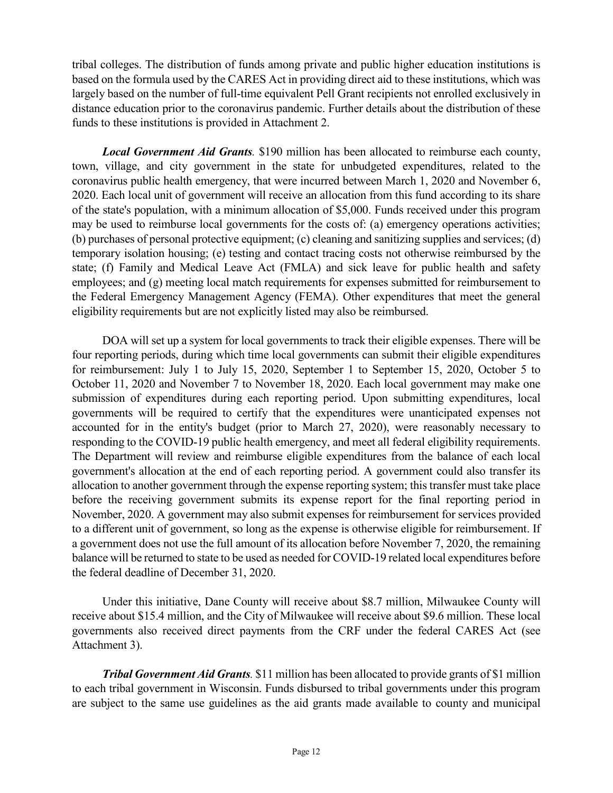tribal colleges. The distribution of funds among private and public higher education institutions is based on the formula used by the CARES Act in providing direct aid to these institutions, which was largely based on the number of full-time equivalent Pell Grant recipients not enrolled exclusively in distance education prior to the coronavirus pandemic. Further details about the distribution of these funds to these institutions is provided in Attachment 2.

*Local Government Aid Grants.* \$190 million has been allocated to reimburse each county, town, village, and city government in the state for unbudgeted expenditures, related to the coronavirus public health emergency, that were incurred between March 1, 2020 and November 6, 2020. Each local unit of government will receive an allocation from this fund according to its share of the state's population, with a minimum allocation of \$5,000. Funds received under this program may be used to reimburse local governments for the costs of: (a) emergency operations activities; (b) purchases of personal protective equipment; (c) cleaning and sanitizing supplies and services; (d) temporary isolation housing; (e) testing and contact tracing costs not otherwise reimbursed by the state; (f) Family and Medical Leave Act (FMLA) and sick leave for public health and safety employees; and (g) meeting local match requirements for expenses submitted for reimbursement to the Federal Emergency Management Agency (FEMA). Other expenditures that meet the general eligibility requirements but are not explicitly listed may also be reimbursed.

DOA will set up a system for local governments to track their eligible expenses. There will be four reporting periods, during which time local governments can submit their eligible expenditures for reimbursement: July 1 to July 15, 2020, September 1 to September 15, 2020, October 5 to October 11, 2020 and November 7 to November 18, 2020. Each local government may make one submission of expenditures during each reporting period. Upon submitting expenditures, local governments will be required to certify that the expenditures were unanticipated expenses not accounted for in the entity's budget (prior to March 27, 2020), were reasonably necessary to responding to the COVID-19 public health emergency, and meet all federal eligibility requirements. The Department will review and reimburse eligible expenditures from the balance of each local government's allocation at the end of each reporting period. A government could also transfer its allocation to another government through the expense reporting system; this transfer must take place before the receiving government submits its expense report for the final reporting period in November, 2020. A government may also submit expenses for reimbursement for services provided to a different unit of government, so long as the expense is otherwise eligible for reimbursement. If a government does not use the full amount of its allocation before November 7, 2020, the remaining balance will be returned to state to be used as needed for COVID-19 related local expenditures before the federal deadline of December 31, 2020.

Under this initiative, Dane County will receive about \$8.7 million, Milwaukee County will receive about \$15.4 million, and the City of Milwaukee will receive about \$9.6 million. These local governments also received direct payments from the CRF under the federal CARES Act (see Attachment 3).

*Tribal Government Aid Grants.* \$11 million has been allocated to provide grants of \$1 million to each tribal government in Wisconsin. Funds disbursed to tribal governments under this program are subject to the same use guidelines as the aid grants made available to county and municipal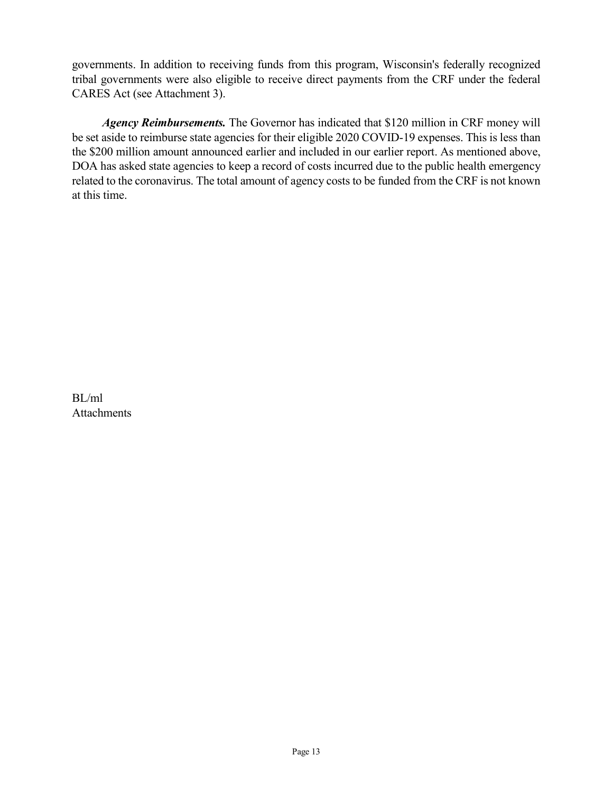governments. In addition to receiving funds from this program, Wisconsin's federally recognized tribal governments were also eligible to receive direct payments from the CRF under the federal CARES Act (see Attachment 3).

*Agency Reimbursements.* The Governor has indicated that \$120 million in CRF money will be set aside to reimburse state agencies for their eligible 2020 COVID-19 expenses. This is less than the \$200 million amount announced earlier and included in our earlier report. As mentioned above, DOA has asked state agencies to keep a record of costs incurred due to the public health emergency related to the coronavirus. The total amount of agency costs to be funded from the CRF is not known at this time.

BL/ml Attachments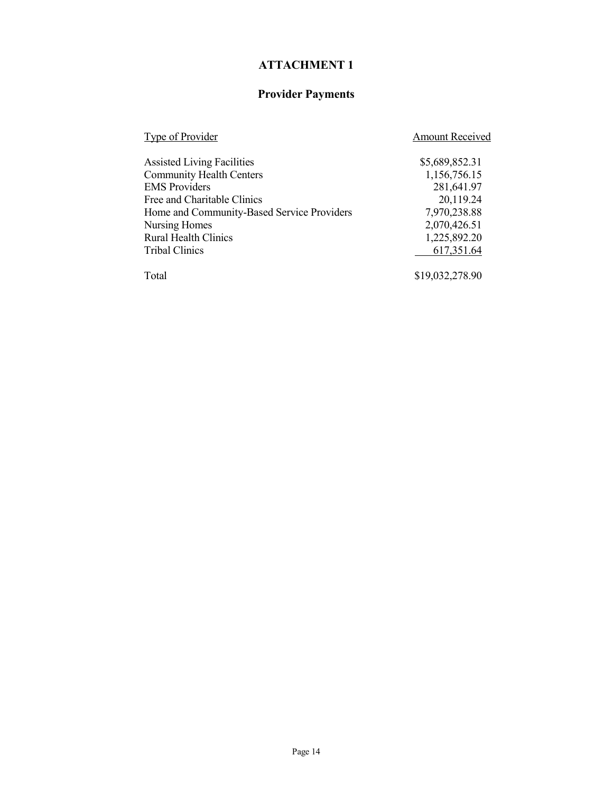### **ATTACHMENT 1**

### **Provider Payments**

| Type of Provider                           | <b>Amount Received</b> |
|--------------------------------------------|------------------------|
| <b>Assisted Living Facilities</b>          | \$5,689,852.31         |
| <b>Community Health Centers</b>            | 1,156,756.15           |
| <b>EMS</b> Providers                       | 281,641.97             |
| Free and Charitable Clinics                | 20,119.24              |
| Home and Community-Based Service Providers | 7,970,238.88           |
| Nursing Homes                              | 2,070,426.51           |
| <b>Rural Health Clinics</b>                | 1,225,892.20           |
| <b>Tribal Clinics</b>                      | 617,351.64             |
| Total                                      | \$19,032,278.90        |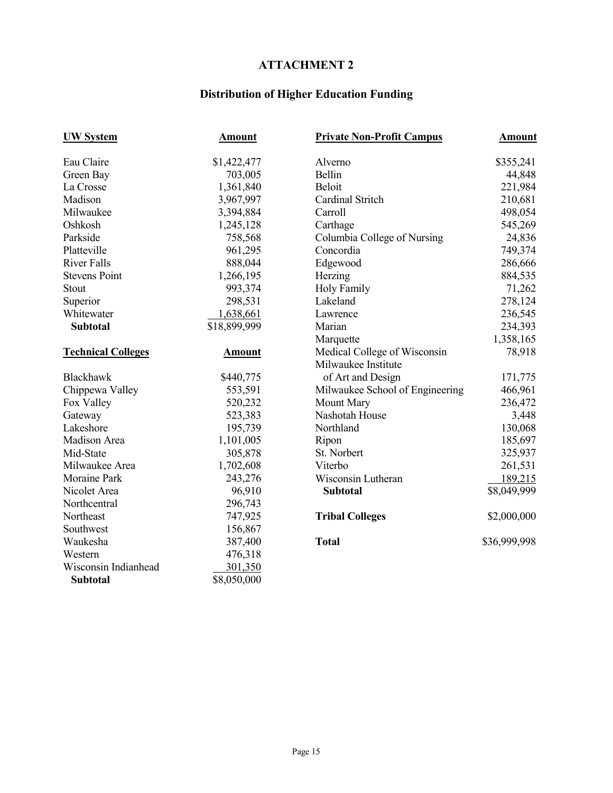### **ATTACHMENT 2**

# **Distribution of Higher Education Funding**

| <b>UW System</b>          | <b>Amount</b> | <b>Private Non-Profit Campus</b> | <b>Amount</b> |
|---------------------------|---------------|----------------------------------|---------------|
| Eau Claire                | \$1,422,477   | Alverno                          | \$355,241     |
| Green Bay                 | 703,005       | Bellin                           | 44,848        |
| La Crosse                 | 1,361,840     | Beloit                           | 221,984       |
| Madison                   | 3,967,997     | Cardinal Stritch                 | 210,681       |
| Milwaukee                 | 3,394,884     | Carroll                          | 498,054       |
| Oshkosh                   | 1,245,128     | Carthage                         | 545,269       |
| Parkside                  | 758,568       | Columbia College of Nursing      | 24,836        |
| Platteville               | 961,295       | Concordia                        | 749,374       |
| <b>River Falls</b>        | 888,044       | Edgewood                         | 286,666       |
| <b>Stevens Point</b>      | 1,266,195     | Herzing                          | 884,535       |
| Stout                     | 993,374       | <b>Holy Family</b>               | 71,262        |
| Superior                  | 298,531       | Lakeland                         | 278,124       |
| Whitewater                | 1,638,661     | Lawrence                         | 236,545       |
| <b>Subtotal</b>           | \$18,899,999  | Marian                           | 234,393       |
|                           |               | Marquette                        | 1,358,165     |
| <b>Technical Colleges</b> | <b>Amount</b> | Medical College of Wisconsin     | 78,918        |
|                           |               | Milwaukee Institute              |               |
| Blackhawk                 | \$440,775     | of Art and Design                | 171,775       |
| Chippewa Valley           | 553,591       | Milwaukee School of Engineering  | 466,961       |
| Fox Valley                | 520,232       | Mount Mary                       | 236,472       |
| Gateway                   | 523,383       | Nashotah House                   | 3,448         |
| Lakeshore                 | 195,739       | Northland                        | 130,068       |
| Madison Area              | 1,101,005     | Ripon                            | 185,697       |
| Mid-State                 | 305,878       | St. Norbert                      | 325,937       |
| Milwaukee Area            | 1,702,608     | Viterbo                          | 261,531       |
| Moraine Park              | 243,276       | Wisconsin Lutheran               | 189,215       |
| Nicolet Area              | 96,910        | <b>Subtotal</b>                  | \$8,049,999   |
| Northcentral              | 296,743       |                                  |               |
| Northeast                 | 747,925       | <b>Tribal Colleges</b>           | \$2,000,000   |
| Southwest                 | 156,867       |                                  |               |
| Waukesha                  | 387,400       | <b>Total</b>                     | \$36,999,998  |
| Western                   | 476,318       |                                  |               |
| Wisconsin Indianhead      | 301,350       |                                  |               |
| <b>Subtotal</b>           | \$8,050,000   |                                  |               |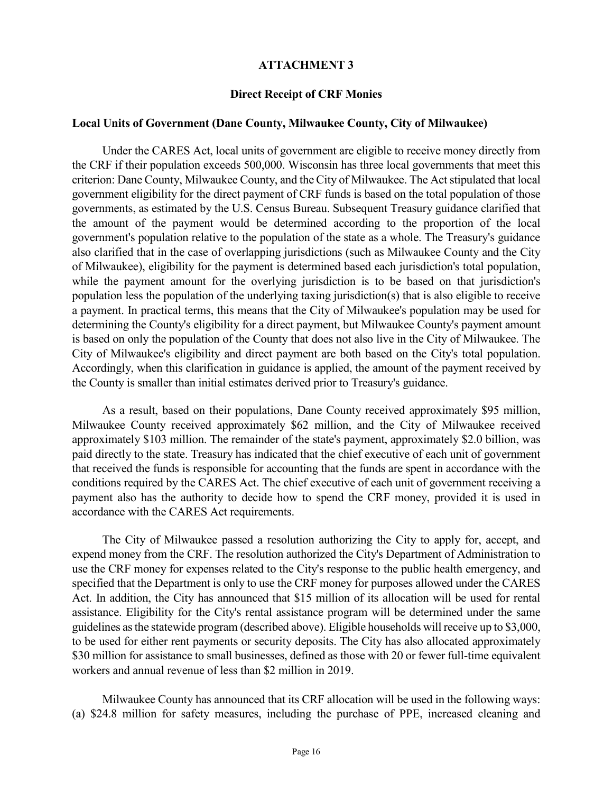#### **ATTACHMENT 3**

#### **Direct Receipt of CRF Monies**

#### **Local Units of Government (Dane County, Milwaukee County, City of Milwaukee)**

Under the CARES Act, local units of government are eligible to receive money directly from the CRF if their population exceeds 500,000. Wisconsin has three local governments that meet this criterion: Dane County, Milwaukee County, and the City of Milwaukee. The Act stipulated that local government eligibility for the direct payment of CRF funds is based on the total population of those governments, as estimated by the U.S. Census Bureau. Subsequent Treasury guidance clarified that the amount of the payment would be determined according to the proportion of the local government's population relative to the population of the state as a whole. The Treasury's guidance also clarified that in the case of overlapping jurisdictions (such as Milwaukee County and the City of Milwaukee), eligibility for the payment is determined based each jurisdiction's total population, while the payment amount for the overlying jurisdiction is to be based on that jurisdiction's population less the population of the underlying taxing jurisdiction(s) that is also eligible to receive a payment. In practical terms, this means that the City of Milwaukee's population may be used for determining the County's eligibility for a direct payment, but Milwaukee County's payment amount is based on only the population of the County that does not also live in the City of Milwaukee. The City of Milwaukee's eligibility and direct payment are both based on the City's total population. Accordingly, when this clarification in guidance is applied, the amount of the payment received by the County is smaller than initial estimates derived prior to Treasury's guidance.

As a result, based on their populations, Dane County received approximately \$95 million, Milwaukee County received approximately \$62 million, and the City of Milwaukee received approximately \$103 million. The remainder of the state's payment, approximately \$2.0 billion, was paid directly to the state. Treasury has indicated that the chief executive of each unit of government that received the funds is responsible for accounting that the funds are spent in accordance with the conditions required by the CARES Act. The chief executive of each unit of government receiving a payment also has the authority to decide how to spend the CRF money, provided it is used in accordance with the CARES Act requirements.

The City of Milwaukee passed a resolution authorizing the City to apply for, accept, and expend money from the CRF. The resolution authorized the City's Department of Administration to use the CRF money for expenses related to the City's response to the public health emergency, and specified that the Department is only to use the CRF money for purposes allowed under the CARES Act. In addition, the City has announced that \$15 million of its allocation will be used for rental assistance. Eligibility for the City's rental assistance program will be determined under the same guidelines as the statewide program (described above). Eligible households will receive up to \$3,000, to be used for either rent payments or security deposits. The City has also allocated approximately \$30 million for assistance to small businesses, defined as those with 20 or fewer full-time equivalent workers and annual revenue of less than \$2 million in 2019.

Milwaukee County has announced that its CRF allocation will be used in the following ways: (a) \$24.8 million for safety measures, including the purchase of PPE, increased cleaning and